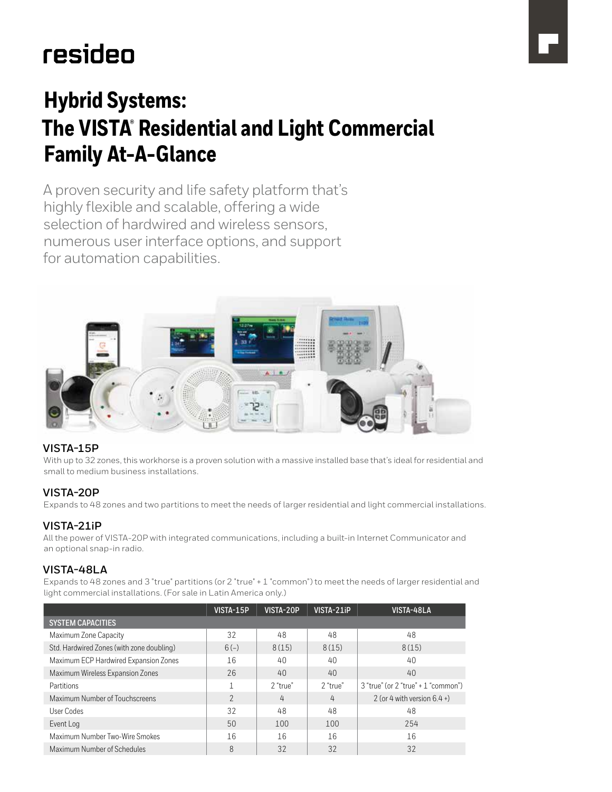# resideo

# **Hybrid Systems: The VISTA® Residential and Light Commercial Family At-A-Glance**

A proven security and life safety platform that's highly flexible and scalable, offering a wide selection of hardwired and wireless sensors, numerous user interface options, and support for automation capabilities.



### **VISTA-15P**

With up to 32 zones, this workhorse is a proven solution with a massive installed base that's ideal for residential and small to medium business installations.

### **VISTA-20P**

Expands to 48 zones and two partitions to meet the needs of larger residential and light commercial installations.

### **VISTA-21iP**

All the power of VISTA-20P with integrated communications, including a built-in Internet Communicator and an optional snap-in radio.

### **VISTA-48LA**

Expands to 48 zones and 3 "true" partitions (or 2 "true" + 1 "common") to meet the needs of larger residential and light commercial installations. (For sale in Latin America only.)

|                                           | VISTA-15P     | VISTA-20P | VISTA-21iP | VISTA-48LA                          |
|-------------------------------------------|---------------|-----------|------------|-------------------------------------|
| <b>SYSTEM CAPACITIES</b>                  |               |           |            |                                     |
| Maximum Zone Capacity                     | 32            | 48        | 48         | 48                                  |
| Std. Hardwired Zones (with zone doubling) | $6(-)$        | 8(15)     | 8(15)      | 8(15)                               |
| Maximum ECP Hardwired Expansion Zones     | 16            | 40        | 40         | 40                                  |
| Maximum Wireless Expansion Zones          | 26            | 40        | 40         | 40                                  |
| Partitions                                |               | 2 "true"  | 2 "true"   | 3 "true" (or 2 "true" + 1 "common") |
| Maximum Number of Touchscreens            | $\mathcal{P}$ | 4         | 4          | 2 (or 4 with version $6.4 +$ )      |
| User Codes                                | 32            | 48        | 48         | 48                                  |
| Event Log                                 | 50            | 100       | 100        | 254                                 |
| Maximum Number Two-Wire Smokes            | 16            | 16        | 16         | 16                                  |
| Maximum Number of Schedules               | 8             | 32        | 32         | 32                                  |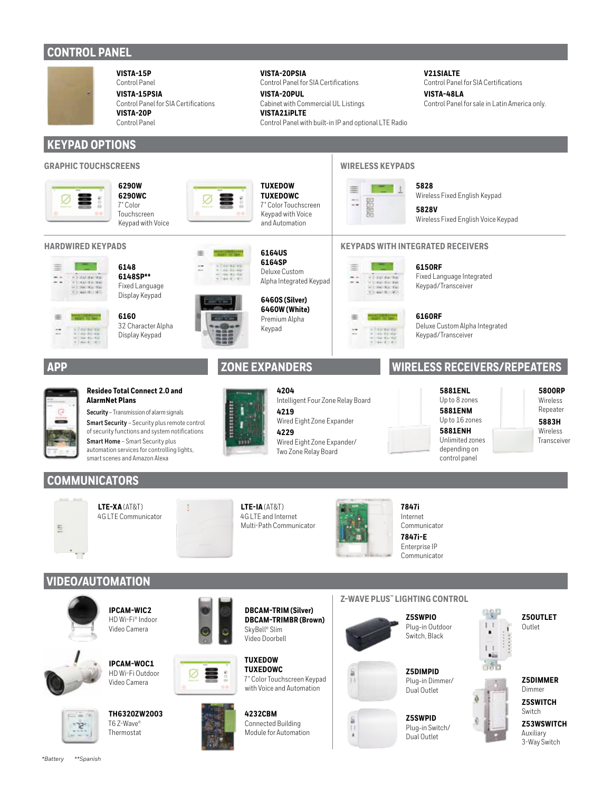# **CONTROL PANEL**



**VISTA-15P** Control Panel **VISTA-15PSIA**

Control Panel for SIA Certifications **VISTA-20P** Control Panel

# **KEYPAD OPTIONS**

### **GRAPHIC TOUCHSCREENS WIRELESS KEYPADS**











 $\begin{array}{l} \frac{1}{2} & \mbox{if $0 \leq t \leq 1$}\\ \frac{1}{2} & \mbox{if $0 \leq t \leq 1$}\\ \frac{1}{2} & \mbox{if $0 \leq t \leq 1$}\\ \frac{1}{2} & \mbox{if $0 \leq t \leq 1$}\\ \end{array}$ 

崖

Fixed Language Display Keypad **6160**

**6148 6148SP\*\***

32 Character Alpha Display Keypad

**Resideo Total Connect 2.0 and** 

**Security** – Transmission of alarm signals **Smart Security** – Security plus remote control of security functions and system notifications **Smart Home** – Smart Security plus automation services for controlling lights, smart scenes and Amazon Alexa

**AlarmNet Plans**





**VISTA-20PSIA**

**VISTA-20PUL**

**VISTA21iPLTE**

**TUXEDOW TUXEDOWC** 7" Color Touchscreen Keypad with Voice and Automation

**6164US 6164SP** Deluxe Custom

Control Panel for SIA Certifications

Cabinet with Commercial UL Listings

Control Panel with built-in IP and optional LTE Radio



**4204** Intelligent Four Zone Relay Board

**4219** Wired Eight Zone Expander

**4229**

Wired Eight Zone Expander/ Two Zone Relay Board





≣

**5828** Wireless Fixed English Keypad **5828V**

**V21SIALTE**

**VISTA-48LA**

Wireless Fixed English Voice Keypad

Control Panel for SIA Certifications

Control Panel for sale in Latin America only.

### **KEYPADS WITH INTEGRATED RECEIVERS**



Fixed Language Integrated Keypad/Transceiver

**6160RF** Deluxe Custom Alpha Integrated Keypad/Transceiver

## **APP ZONE EXPANDERS WIRELESS RECEIVERS/REPEATERS**



**5800RP** Wireless Repeater **5883H** Wireless Transceiver

### **COMMUNICATORS**



**LTE-XA** (AT&T) 4G LTE Communicator **LTE-IA** (AT&T) 4G LTE and Internet Multi-Path Communicator



**7847i**  Internet Communicator

**7847i-E** Enterprise IP Communicator

**VIDEO/AUTOMATION**





**IPCAM-WOC1** HD Wi-Fi Outdoor Video Camera

**IPCAM-WIC2** HD Wi-Fi® Indoor Video Camera



**TH6320ZW2003** T6 Z-Wave® Thermostat





**TUXEDOW TUXEDOWC** 7" Color Touchscreen Keypad with Voice and Automation



### **Z-WAVE PLUS™ LIGHTING CONTROL**



도

П  $\blacksquare$  **Z5SWPIO** Plug-in Outdoor Switch, Black



**Z5SWPID** Plug-in Switch/ Dual Outlet



**Z5OUTLET** Outlet





**Z53WSWITCH** Auxiliary 3-Way Switch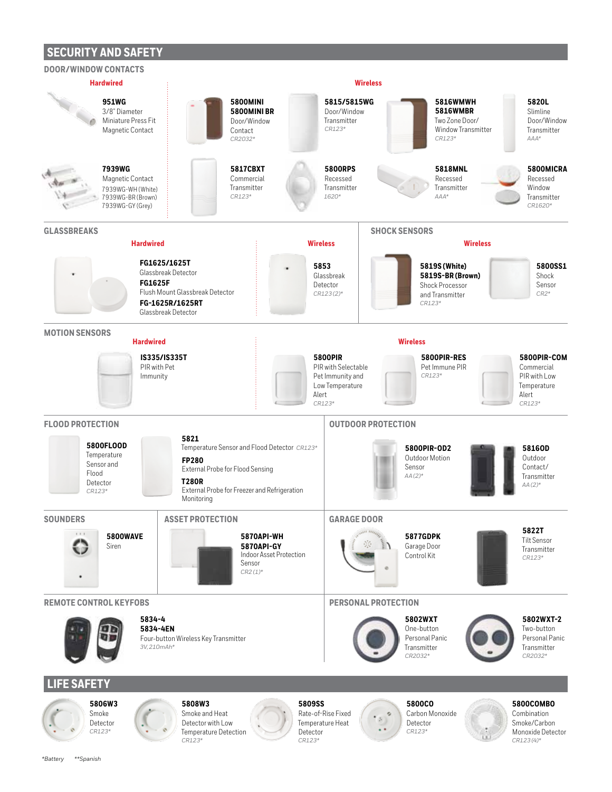## **SECURITY AND SAFETY**